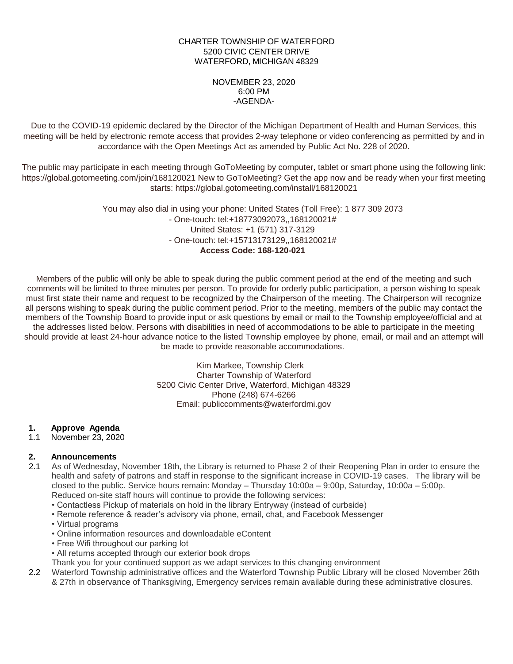### CHARTER TOWNSHIP OF WATERFORD 5200 CIVIC CENTER DRIVE WATERFORD, MICHIGAN 48329

### NOVEMBER 23, 2020 6:00 PM -AGENDA-

Due to the COVID-19 epidemic declared by the Director of the Michigan Department of Health and Human Services, this meeting will be held by electronic remote access that provides 2-way telephone or video conferencing as permitted by and in accordance with the Open Meetings Act as amended by Public Act No. 228 of 2020.

The public may participate in each meeting through GoToMeeting by computer, tablet or smart phone using the following link: https://global.gotomeeting.com/join/168120021 New to GoToMeeting? Get the app now and be ready when your first meeting starts: https://global.gotomeeting.com/install/168120021

> You may also dial in using your phone: United States (Toll Free): 1 877 309 2073 - One-touch: tel:+18773092073,,168120021# United States: +1 (571) 317-3129 - One-touch: tel:+15713173129,,168120021# **Access Code: 168-120-021**

Members of the public will only be able to speak during the public comment period at the end of the meeting and such comments will be limited to three minutes per person. To provide for orderly public participation, a person wishing to speak must first state their name and request to be recognized by the Chairperson of the meeting. The Chairperson will recognize all persons wishing to speak during the public comment period. Prior to the meeting, members of the public may contact the members of the Township Board to provide input or ask questions by email or mail to the Township employee/official and at the addresses listed below. Persons with disabilities in need of accommodations to be able to participate in the meeting should provide at least 24-hour advance notice to the listed Township employee by phone, email, or mail and an attempt will be made to provide reasonable accommodations.

> Kim Markee, Township Clerk Charter Township of Waterford 5200 Civic Center Drive, Waterford, Michigan 48329 Phone (248) 674-6266 Email: publiccomments@waterfordmi.gov

### **1. Approve Agenda**

1.1 November 23, 2020

## **2. Announcements**

- 2.1 As of Wednesday, November 18th, the Library is returned to Phase 2 of their Reopening Plan in order to ensure the health and safety of patrons and staff in response to the significant increase in COVID-19 cases. The library will be closed to the public. Service hours remain: Monday – Thursday 10:00a – 9:00p, Saturday, 10:00a – 5:00p. Reduced on-site staff hours will continue to provide the following services:
	- Contactless Pickup of materials on hold in the library Entryway (instead of curbside)
	- Remote reference & reader's advisory via phone, email, chat, and Facebook Messenger
	- Virtual programs
	- Online information resources and downloadable eContent
	- Free Wifi throughout our parking lot
	- All returns accepted through our exterior book drops
	- Thank you for your continued support as we adapt services to this changing environment
- 2.2 Waterford Township administrative offices and the Waterford Township Public Library will be closed November 26th & 27th in observance of Thanksgiving, Emergency services remain available during these administrative closures.